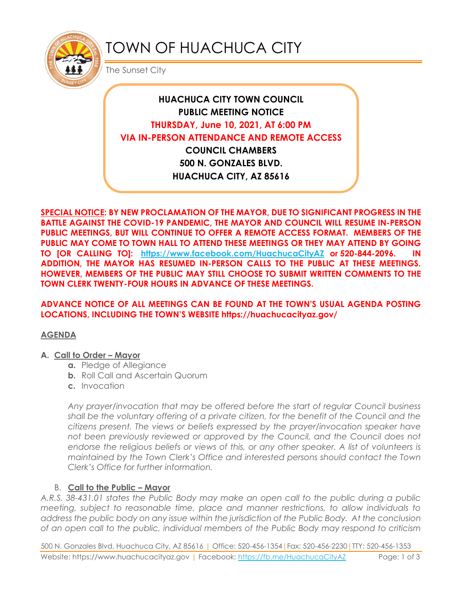

# TOWN OF HUACHUCA CITY

The Sunset City

## **HUACHUCA CITY TOWN COUNCIL PUBLIC MEETING NOTICE THURSDAY, June 10, 2021, AT 6:00 PM VIA IN-PERSON ATTENDANCE AND REMOTE ACCESS COUNCIL CHAMBERS 500 N. GONZALES BLVD.**

**HUACHUCA CITY, AZ 85616**

**SPECIAL NOTICE: BY NEW PROCLAMATION OF THE MAYOR, DUE TO SIGNIFICANT PROGRESS IN THE BATTLE AGAINST THE COVID-19 PANDEMIC, THE MAYOR AND COUNCIL WILL RESUME IN-PERSON PUBLIC MEETINGS, BUT WILL CONTINUE TO OFFER A REMOTE ACCESS FORMAT. MEMBERS OF THE PUBLIC MAY COME TO TOWN HALL TO ATTEND THESE MEETINGS OR THEY MAY ATTEND BY GOING TO [OR CALLING TO]: <https://www.facebook.com/HuachucaCityAZ> or 520-844-2096. IN ADDITION, THE MAYOR HAS RESUMED IN-PERSON CALLS TO THE PUBLIC AT THESE MEETINGS. HOWEVER, MEMBERS OF THE PUBLIC MAY STILL CHOOSE TO SUBMIT WRITTEN COMMENTS TO THE TOWN CLERK TWENTY-FOUR HOURS IN ADVANCE OF THESE MEETINGS.** 

#### **ADVANCE NOTICE OF ALL MEETINGS CAN BE FOUND AT THE TOWN'S USUAL AGENDA POSTING LOCATIONS, INCLUDING THE TOWN'S WEBSITE https://huachucacityaz.gov/**

#### **AGENDA**

#### **A. Call to Order – Mayor**

- **a.** Pledge of Allegiance
- **b.** Roll Call and Ascertain Quorum
- **c.** Invocation

*Any prayer/invocation that may be offered before the start of regular Council business shall be the voluntary offering of a private citizen, for the benefit of the Council and the citizens present. The views or beliefs expressed by the prayer/invocation speaker have*  not been previously reviewed or approved by the Council, and the Council does not endorse the religious beliefs or views of this, or any other speaker. A list of volunteers is *maintained by the Town Clerk's Office and interested persons should contact the Town Clerk's Office for further information.*

## B. **Call to the Public – Mayor**

*A.R.S. 38-431.01 states the Public Body may make an open call to the public during a public meeting, subject to reasonable time, place and manner restrictions, to allow individuals to address the public body on any issue within the jurisdiction of the Public Body. At the conclusion of an open call to the public, individual members of the Public Body may respond to criticism* 

500 N. Gonzales Blvd, Huachuca City, AZ 85616 | Office: 520-456-1354|Fax: 520-456-2230|TTY: 520-456-1353 Website: https://www.huachucacityaz.gov | Facebook:<https://fb.me/HuachucaCityAZ> Page: 1 of 3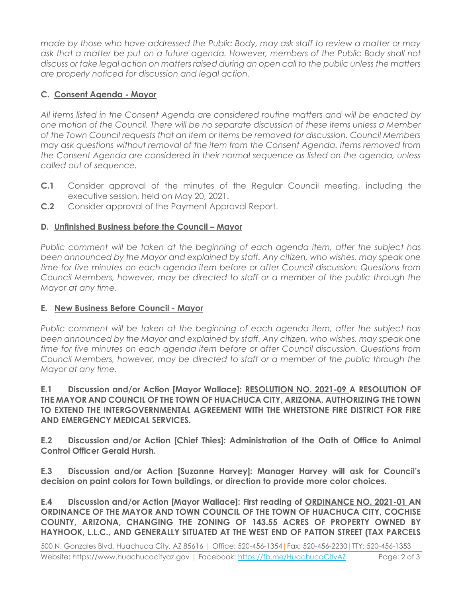*made by those who have addressed the Public Body, may ask staff to review a matter or may ask that a matter be put on a future agenda. However, members of the Public Body shall not discuss or take legal action on matters raised during an open call to the public unless the matters are properly noticed for discussion and legal action.*

## **C. Consent Agenda - Mayor**

*All items listed in the Consent Agenda are considered routine matters and will be enacted by one motion of the Council. There will be no separate discussion of these items unless a Member of the Town Council requests that an item or items be removed for discussion. Council Members may ask questions without removal of the item from the Consent Agenda. Items removed from the Consent Agenda are considered in their normal sequence as listed on the agenda, unless called out of sequence.*

- **C.1** Consider approval of the minutes of the Regular Council meeting, including the executive session, held on May 20, 2021.
- **C.2** Consider approval of the Payment Approval Report.

## **D. Unfinished Business before the Council – Mayor**

*Public comment will be taken at the beginning of each agenda item, after the subject has been announced by the Mayor and explained by staff. Any citizen, who wishes, may speak one time for five minutes on each agenda item before or after Council discussion. Questions from Council Members, however, may be directed to staff or a member of the public through the Mayor at any time.*

## **E. New Business Before Council - Mayor**

*Public comment will be taken at the beginning of each agenda item, after the subject has*  been announced by the Mayor and explained by staff. Any citizen, who wishes, may speak one *time for five minutes on each agenda item before or after Council discussion. Questions from Council Members, however, may be directed to staff or a member of the public through the Mayor at any time.* 

#### **E.1 Discussion and/or Action [Mayor Wallace]: RESOLUTION NO. 2021-09 A RESOLUTION OF THE MAYOR AND COUNCIL OF THE TOWN OF HUACHUCA CITY, ARIZONA, AUTHORIZING THE TOWN TO EXTEND THE INTERGOVERNMENTAL AGREEMENT WITH THE WHETSTONE FIRE DISTRICT FOR FIRE AND EMERGENCY MEDICAL SERVICES.**

**E.2 Discussion and/or Action [Chief Thies]: Administration of the Oath of Office to Animal Control Officer Gerald Hursh.** 

**E.3 Discussion and/or Action [Suzanne Harvey]: Manager Harvey will ask for Council's decision on paint colors for Town buildings, or direction to provide more color choices.**

**E.4 Discussion and/or Action [Mayor Wallace]: First reading of ORDINANCE NO. 2021-01 AN ORDINANCE OF THE MAYOR AND TOWN COUNCIL OF THE TOWN OF HUACHUCA CITY, COCHISE COUNTY, ARIZONA, CHANGING THE ZONING OF 143.55 ACRES OF PROPERTY OWNED BY HAYHOOK, L.L.C., AND GENERALLY SITUATED AT THE WEST END OF PATTON STREET (TAX PARCELS**